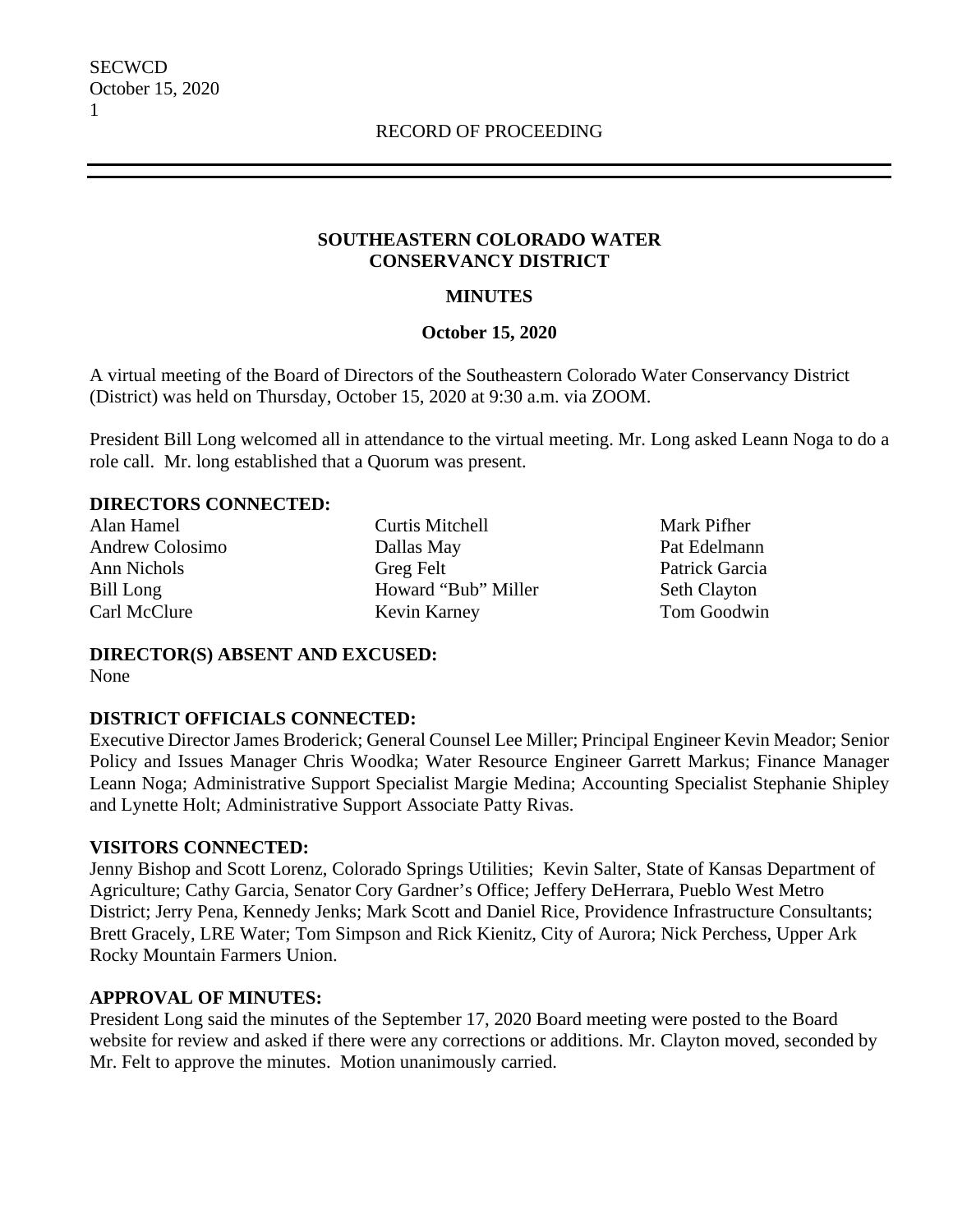## **SOUTHEASTERN COLORADO WATER CONSERVANCY DISTRICT**

## **MINUTES**

## **October 15, 2020**

A virtual meeting of the Board of Directors of the Southeastern Colorado Water Conservancy District (District) was held on Thursday, October 15, 2020 at 9:30 a.m. via ZOOM.

President Bill Long welcomed all in attendance to the virtual meeting. Mr. Long asked Leann Noga to do a role call. Mr. long established that a Quorum was present.

#### **DIRECTORS CONNECTED:**

Alan Hamel Andrew Colosimo Ann Nichols Bill Long Carl McClure

Curtis Mitchell Dallas May Greg Felt Howard "Bub" Miller Kevin Karney

Mark Pifher Pat Edelmann Patrick Garcia Seth Clayton Tom Goodwin

**DIRECTOR(S) ABSENT AND EXCUSED:** None

## **DISTRICT OFFICIALS CONNECTED:**

Executive Director James Broderick; General Counsel Lee Miller; Principal Engineer Kevin Meador; Senior Policy and Issues Manager Chris Woodka; Water Resource Engineer Garrett Markus; Finance Manager Leann Noga; Administrative Support Specialist Margie Medina; Accounting Specialist Stephanie Shipley and Lynette Holt; Administrative Support Associate Patty Rivas.

## **VISITORS CONNECTED:**

Jenny Bishop and Scott Lorenz, Colorado Springs Utilities; Kevin Salter, State of Kansas Department of Agriculture; Cathy Garcia, Senator Cory Gardner's Office; Jeffery DeHerrara, Pueblo West Metro District; Jerry Pena, Kennedy Jenks; Mark Scott and Daniel Rice, Providence Infrastructure Consultants; Brett Gracely, LRE Water; Tom Simpson and Rick Kienitz, City of Aurora; Nick Perchess, Upper Ark Rocky Mountain Farmers Union.

## **APPROVAL OF MINUTES:**

President Long said the minutes of the September 17, 2020 Board meeting were posted to the Board website for review and asked if there were any corrections or additions. Mr. Clayton moved, seconded by Mr. Felt to approve the minutes. Motion unanimously carried.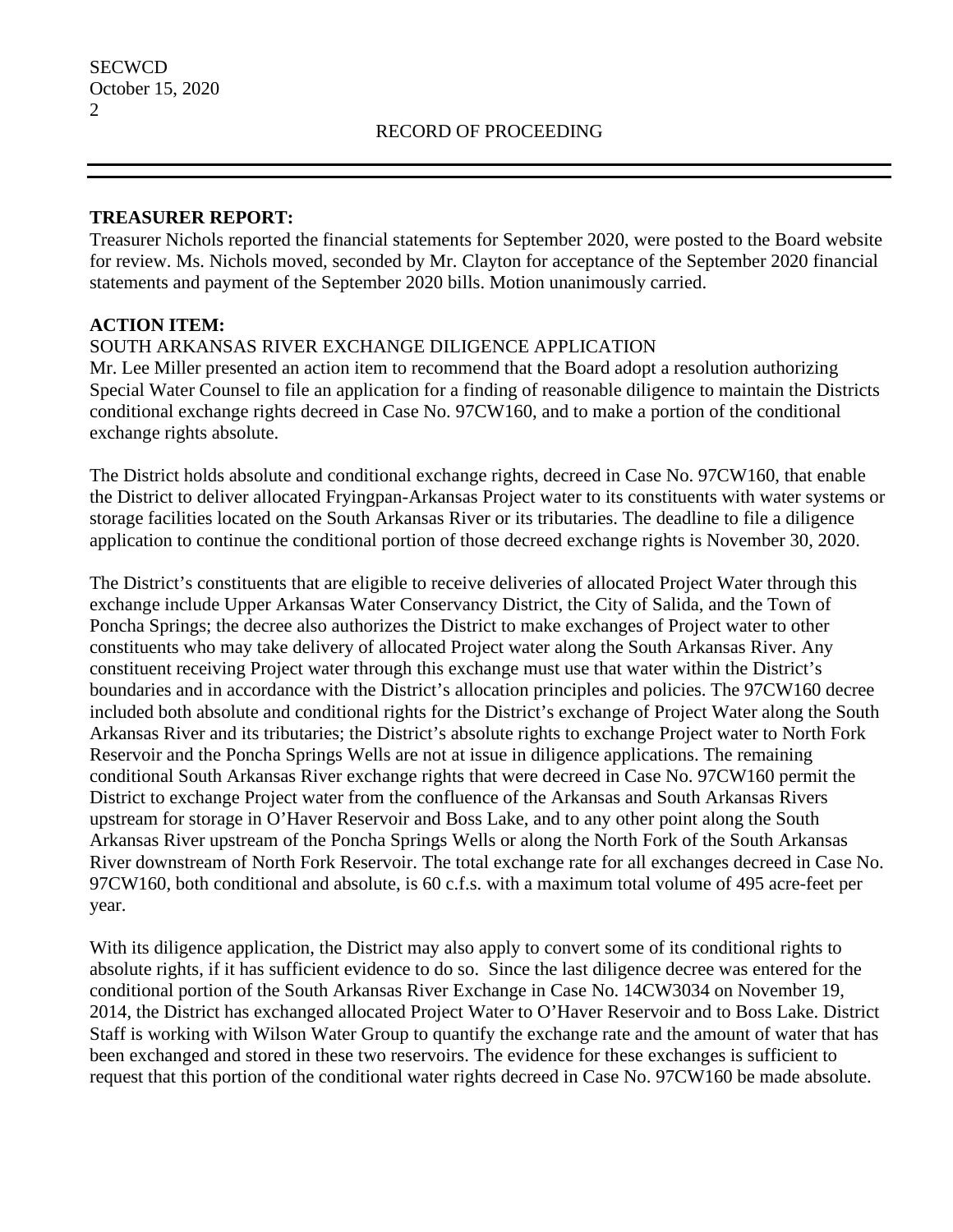## **TREASURER REPORT:**

Treasurer Nichols reported the financial statements for September 2020, were posted to the Board website for review. Ms. Nichols moved, seconded by Mr. Clayton for acceptance of the September 2020 financial statements and payment of the September 2020 bills. Motion unanimously carried.

## **ACTION ITEM:**

## SOUTH ARKANSAS RIVER EXCHANGE DILIGENCE APPLICATION

Mr. Lee Miller presented an action item to recommend that the Board adopt a resolution authorizing Special Water Counsel to file an application for a finding of reasonable diligence to maintain the Districts conditional exchange rights decreed in Case No. 97CW160, and to make a portion of the conditional exchange rights absolute.

The District holds absolute and conditional exchange rights, decreed in Case No. 97CW160, that enable the District to deliver allocated Fryingpan-Arkansas Project water to its constituents with water systems or storage facilities located on the South Arkansas River or its tributaries. The deadline to file a diligence application to continue the conditional portion of those decreed exchange rights is November 30, 2020.

The District's constituents that are eligible to receive deliveries of allocated Project Water through this exchange include Upper Arkansas Water Conservancy District, the City of Salida, and the Town of Poncha Springs; the decree also authorizes the District to make exchanges of Project water to other constituents who may take delivery of allocated Project water along the South Arkansas River. Any constituent receiving Project water through this exchange must use that water within the District's boundaries and in accordance with the District's allocation principles and policies. The 97CW160 decree included both absolute and conditional rights for the District's exchange of Project Water along the South Arkansas River and its tributaries; the District's absolute rights to exchange Project water to North Fork Reservoir and the Poncha Springs Wells are not at issue in diligence applications. The remaining conditional South Arkansas River exchange rights that were decreed in Case No. 97CW160 permit the District to exchange Project water from the confluence of the Arkansas and South Arkansas Rivers upstream for storage in O'Haver Reservoir and Boss Lake, and to any other point along the South Arkansas River upstream of the Poncha Springs Wells or along the North Fork of the South Arkansas River downstream of North Fork Reservoir. The total exchange rate for all exchanges decreed in Case No. 97CW160, both conditional and absolute, is 60 c.f.s. with a maximum total volume of 495 acre-feet per year.

With its diligence application, the District may also apply to convert some of its conditional rights to absolute rights, if it has sufficient evidence to do so. Since the last diligence decree was entered for the conditional portion of the South Arkansas River Exchange in Case No. 14CW3034 on November 19, 2014, the District has exchanged allocated Project Water to O'Haver Reservoir and to Boss Lake. District Staff is working with Wilson Water Group to quantify the exchange rate and the amount of water that has been exchanged and stored in these two reservoirs. The evidence for these exchanges is sufficient to request that this portion of the conditional water rights decreed in Case No. 97CW160 be made absolute.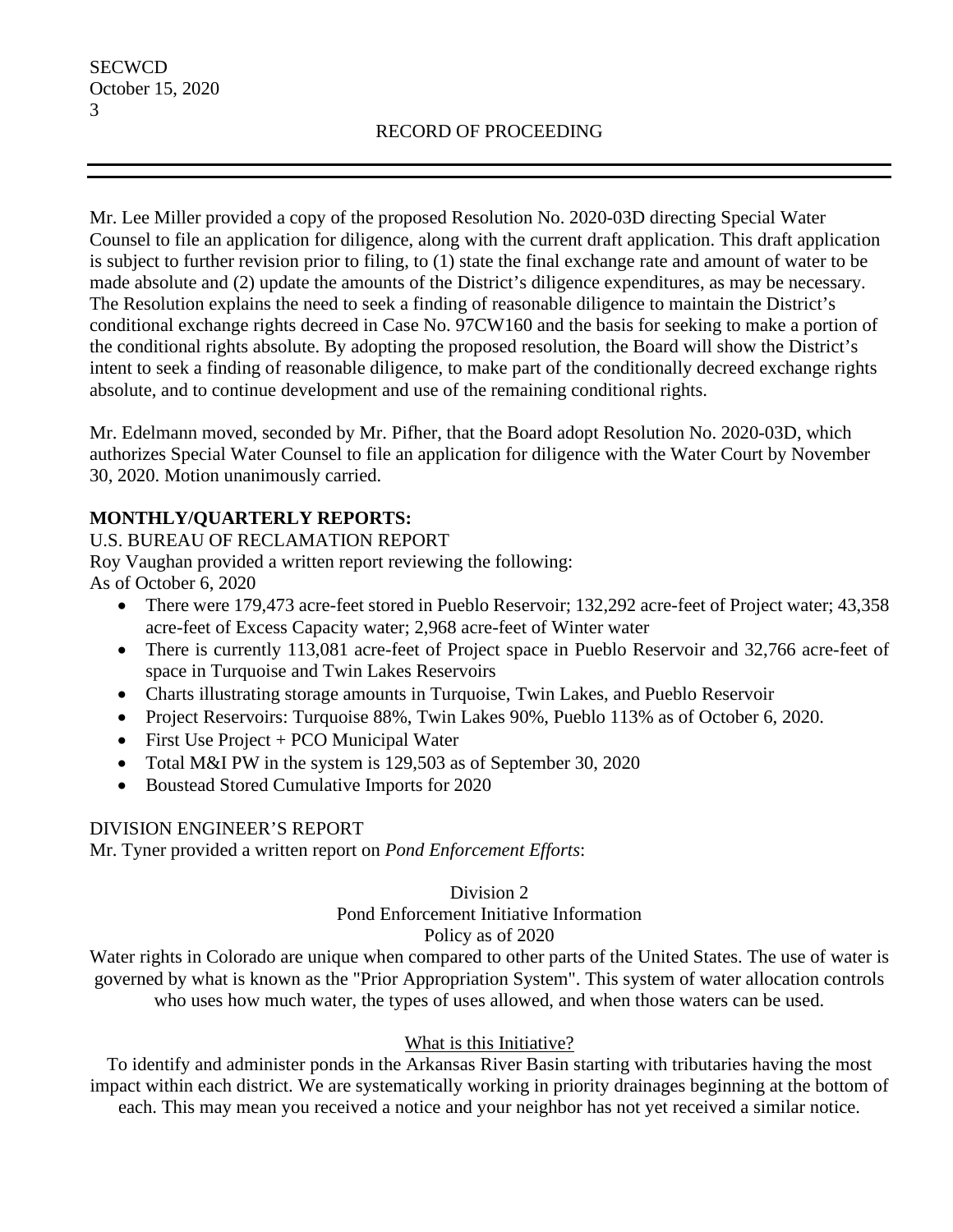Mr. Lee Miller provided a copy of the proposed Resolution No. 2020-03D directing Special Water Counsel to file an application for diligence, along with the current draft application. This draft application is subject to further revision prior to filing, to (1) state the final exchange rate and amount of water to be made absolute and (2) update the amounts of the District's diligence expenditures, as may be necessary. The Resolution explains the need to seek a finding of reasonable diligence to maintain the District's conditional exchange rights decreed in Case No. 97CW160 and the basis for seeking to make a portion of the conditional rights absolute. By adopting the proposed resolution, the Board will show the District's intent to seek a finding of reasonable diligence, to make part of the conditionally decreed exchange rights absolute, and to continue development and use of the remaining conditional rights.

Mr. Edelmann moved, seconded by Mr. Pifher, that the Board adopt Resolution No. 2020-03D, which authorizes Special Water Counsel to file an application for diligence with the Water Court by November 30, 2020. Motion unanimously carried.

# **MONTHLY/QUARTERLY REPORTS:**

## U.S. BUREAU OF RECLAMATION REPORT

Roy Vaughan provided a written report reviewing the following: As of October 6, 2020

- There were 179,473 acre-feet stored in Pueblo Reservoir; 132,292 acre-feet of Project water; 43,358 acre-feet of Excess Capacity water; 2,968 acre-feet of Winter water
- There is currently 113,081 acre-feet of Project space in Pueblo Reservoir and 32,766 acre-feet of space in Turquoise and Twin Lakes Reservoirs
- Charts illustrating storage amounts in Turquoise, Twin Lakes, and Pueblo Reservoir
- Project Reservoirs: Turquoise 88%, Twin Lakes 90%, Pueblo 113% as of October 6, 2020.
- First Use Project + PCO Municipal Water
- Total M&I PW in the system is 129,503 as of September 30, 2020
- Boustead Stored Cumulative Imports for 2020

## DIVISION ENGINEER'S REPORT

Mr. Tyner provided a written report on *Pond Enforcement Efforts*:

#### Division 2 Pond Enforcement Initiative Information Policy as of 2020

Water rights in Colorado are unique when compared to other parts of the United States. The use of water is governed by what is known as the "Prior Appropriation System". This system of water allocation controls who uses how much water, the types of uses allowed, and when those waters can be used.

# What is this Initiative?

To identify and administer ponds in the Arkansas River Basin starting with tributaries having the most impact within each district. We are systematically working in priority drainages beginning at the bottom of each. This may mean you received a notice and your neighbor has not yet received a similar notice.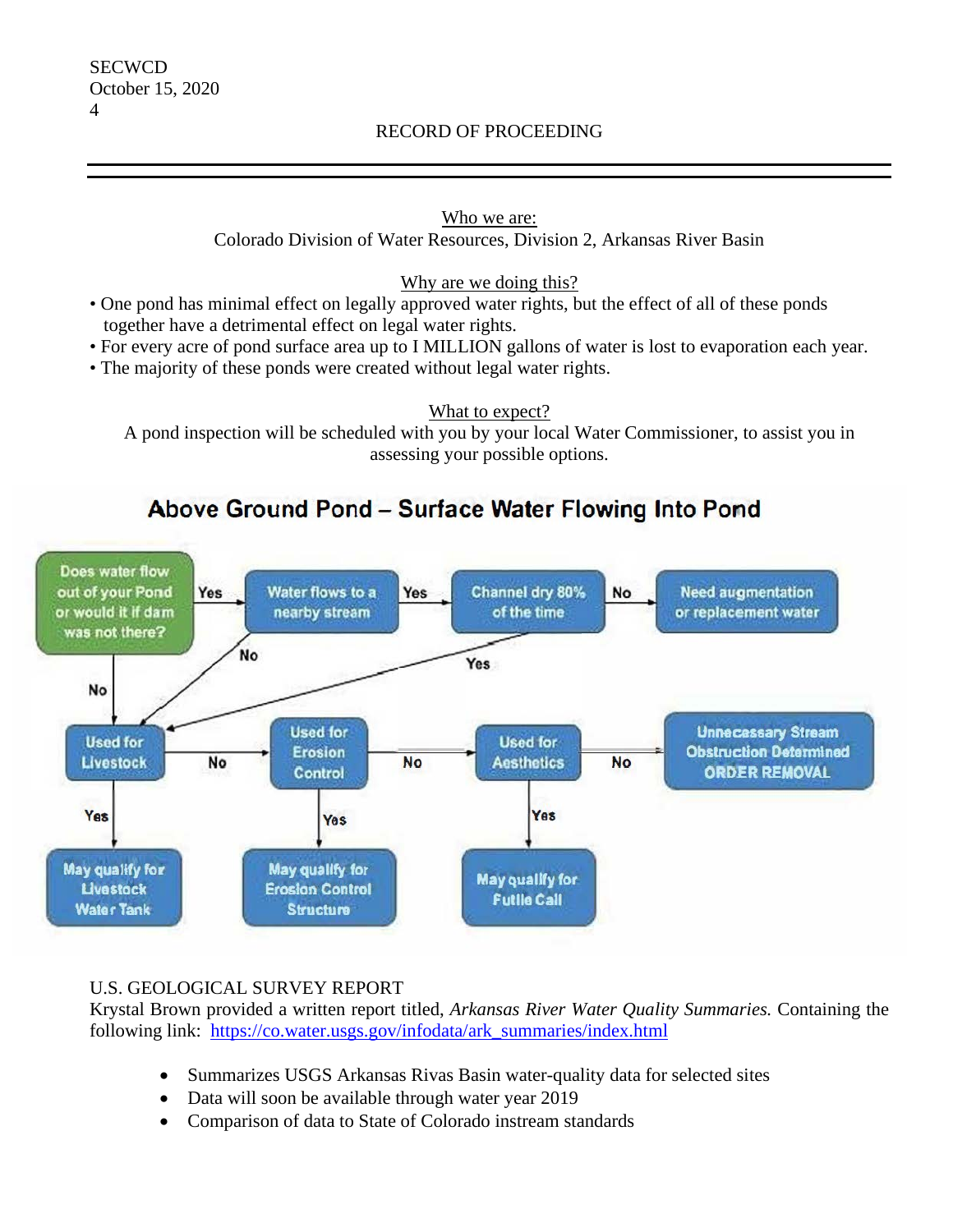## RECORD OF PROCEEDING

## Who we are:

Colorado Division of Water Resources, Division 2, Arkansas River Basin

## Why are we doing this?

- One pond has minimal effect on legally approved water rights, but the effect of all of these ponds together have a detrimental effect on legal water rights.
- For every acre of pond surface area up to I MILLION gallons of water is lost to evaporation each year.
- The majority of these ponds were created without legal water rights.

What to expect?

A pond inspection will be scheduled with you by your local Water Commissioner, to assist you in assessing your possible options.

# Above Ground Pond - Surface Water Flowing Into Pond



## U.S. GEOLOGICAL SURVEY REPORT

Krystal Brown provided a written report titled, *Arkansas River Water Quality Summaries.* Containing the following link: https://co.water.usgs.gov/infodata/ark\_summaries/index.html

- Summarizes USGS Arkansas Rivas Basin water-quality data for selected sites
- Data will soon be available through water year 2019
- Comparison of data to State of Colorado instream standards